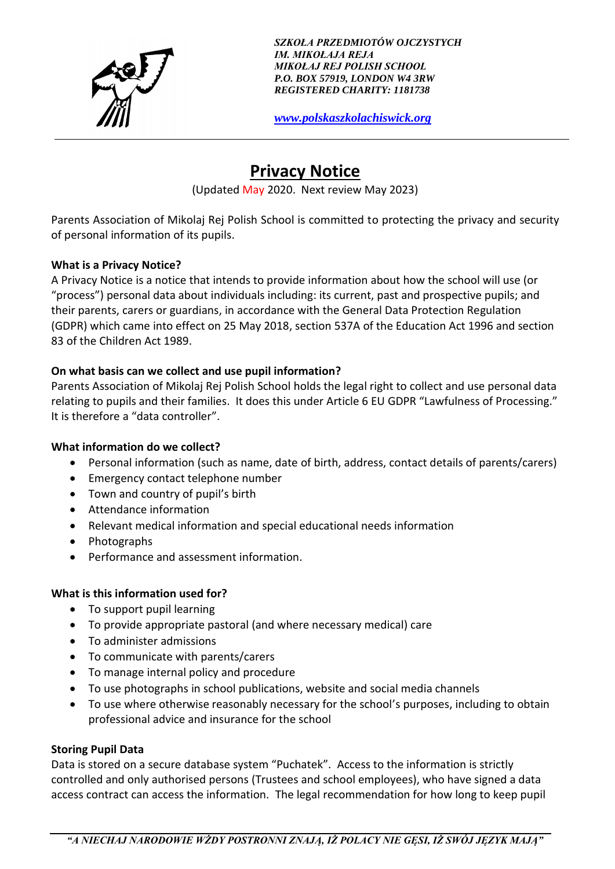

*SZKOŁA PRZEDMIOTÓW OJCZYSTYCH IM. MIKOŁAJA REJA MIKOŁAJ REJ POLISH SCHOOL P.O. BOX 57919, LONDON W4 3RW REGISTERED CHARITY: 1181738*

*[www.polskaszkolachiswick.org](http://www.polskaszkolachiswick.org/)*

# **Privacy Notice**

(Updated May 2020. Next review May 2023)

Parents Association of Mikolaj Rej Polish School is committed to protecting the privacy and security of personal information of its pupils.

# **What is a Privacy Notice?**

A Privacy Notice is a notice that intends to provide information about how the school will use (or "process") personal data about individuals including: its current, past and prospective pupils; and their parents, carers or guardians, in accordance with the General Data Protection Regulation (GDPR) which came into effect on 25 May 2018, section 537A of the Education Act 1996 and section 83 of the Children Act 1989.

# **On what basis can we collect and use pupil information?**

Parents Association of Mikolaj Rej Polish School holds the legal right to collect and use personal data relating to pupils and their families. It does this under Article 6 EU GDPR "Lawfulness of Processing." It is therefore a "data controller".

# **What information do we collect?**

- Personal information (such as name, date of birth, address, contact details of parents/carers)
- Emergency contact telephone number
- Town and country of pupil's birth
- Attendance information
- Relevant medical information and special educational needs information
- Photographs
- Performance and assessment information.

# **What is this information used for?**

- To support pupil learning
- To provide appropriate pastoral (and where necessary medical) care
- To administer admissions
- To communicate with parents/carers
- To manage internal policy and procedure
- To use photographs in school publications, website and social media channels
- To use where otherwise reasonably necessary for the school's purposes, including to obtain professional advice and insurance for the school

# **Storing Pupil Data**

Data is stored on a secure database system "Puchatek". Access to the information is strictly controlled and only authorised persons (Trustees and school employees), who have signed a data access contract can access the information. The legal recommendation for how long to keep pupil